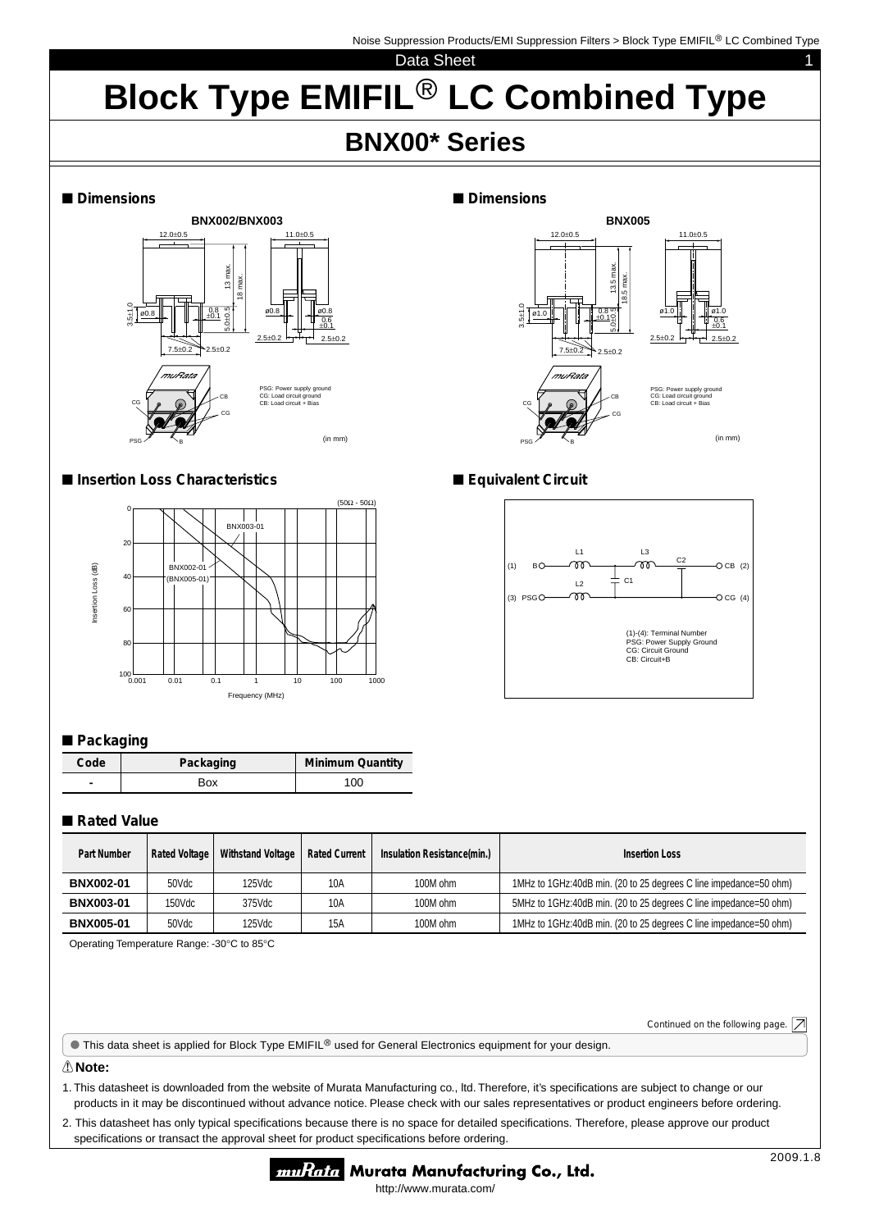1

#### Data Sheet

# **Block Type EMIFIL<sup>®</sup> LC Combined Type**

## **BNX00\* Series**

■ Dimensions



#### ■ Insertion Loss Characteristics ■ Equivalent Circuit



#### ■ Packaging

| Code | Packaging | <b>Minimum Quantity</b> |
|------|-----------|-------------------------|
|      | Box       | 100                     |

### ■**Rated Value**

| <b>Part Number</b> | <b>Rated Voltage</b> | Withstand Voltage | <b>Rated Current</b> | Insulation Resistance(min.) | Insertion Loss                                                    |
|--------------------|----------------------|-------------------|----------------------|-----------------------------|-------------------------------------------------------------------|
| <b>BNX002-01</b>   | 50Vdc                | 125Vdc            | 10A                  | 100M ohm                    | 1MHz to 1GHz:40dB min. (20 to 25 degrees C line impedance=50 ohm) |
| <b>BNX003-01</b>   | 150Vdc               | 375Vdc            | 10A                  | 100M ohm                    | 5MHz to 1GHz:40dB min. (20 to 25 degrees C line impedance=50 ohm) |
| <b>BNX005-01</b>   | 50Vdc                | 125Vdc            | 15A                  | 100M ohm                    | 1MHz to 1GHz:40dB min. (20 to 25 degrees C line impedance=50 ohm) |

Operating Temperature Range: -30°C to 85°C

Continued on the following page.  $\boxed{\nearrow}$ 

This data sheet is applied for Block Type EMIFIL® used for General Electronics equipment for your design.

#### ! **Note:**

1. This datasheet is downloaded from the website of Murata Manufacturing co., ltd. Therefore, it's specifications are subject to change or our products in it may be discontinued without advance notice. Please check with our sales representatives or product engineers before ordering.

2. This datasheet has only typical specifications because there is no space for detailed specifications. Therefore, please approve our product specifications or transact the approval sheet for product specifications before ordering.